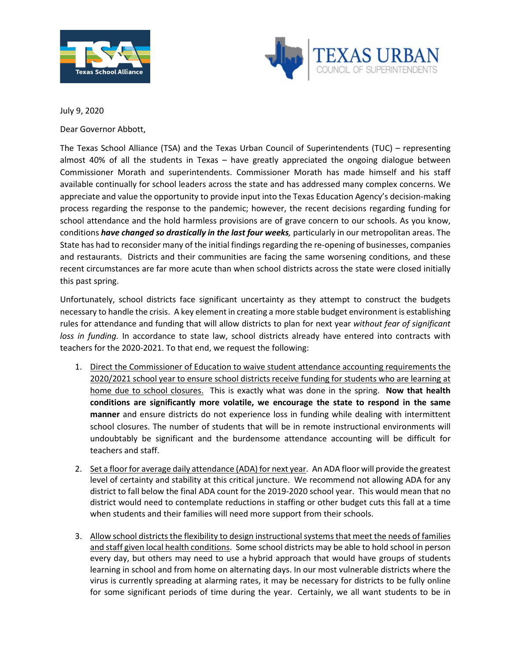



July 9, 2020

Dear Governor Abbott,

The Texas School Alliance (TSA) and the Texas Urban Council of Superintendents (TUC) – representing almost 40% of all the students in Texas – have greatly appreciated the ongoing dialogue between Commissioner Morath and superintendents. Commissioner Morath has made himself and his staff available continually for school leaders across the state and has addressed many complex concerns. We appreciate and value the opportunity to provide input into the Texas Education Agency's decision-making process regarding the response to the pandemic; however, the recent decisions regarding funding for school attendance and the hold harmless provisions are of grave concern to our schools. As you know, conditions *have changed so drastically in the last four weeks,* particularly in our metropolitan areas. The State has had to reconsider many of the initial findings regarding the re-opening of businesses, companies and restaurants. Districts and their communities are facing the same worsening conditions, and these recent circumstances are far more acute than when school districts across the state were closed initially this past spring.

Unfortunately, school districts face significant uncertainty as they attempt to construct the budgets necessary to handle the crisis. A key element in creating a more stable budget environment is establishing rules for attendance and funding that will allow districts to plan for next year *without fear of significant loss in funding.* In accordance to state law, school districts already have entered into contracts with teachers for the 2020-2021. To that end, we request the following:

- 1. Direct the Commissioner of Education to waive student attendance accounting requirements the 2020/2021 school year to ensure school districts receive funding for students who are learning at home due to school closures. This is exactly what was done in the spring. **Now that health conditions are significantly more volatile, we encourage the state to respond in the same manner** and ensure districts do not experience loss in funding while dealing with intermittent school closures. The number of students that will be in remote instructional environments will undoubtably be significant and the burdensome attendance accounting will be difficult for teachers and staff.
- 2. Set a floor for average daily attendance (ADA) for next year. An ADA floor will provide the greatest level of certainty and stability at this critical juncture. We recommend not allowing ADA for any district to fall below the final ADA count for the 2019-2020 school year. This would mean that no district would need to contemplate reductions in staffing or other budget cuts this fall at a time when students and their families will need more support from their schools.
- 3. Allow school districts the flexibility to design instructional systems that meet the needs of families and staff given local health conditions. Some school districts may be able to hold school in person every day, but others may need to use a hybrid approach that would have groups of students learning in school and from home on alternating days. In our most vulnerable districts where the virus is currently spreading at alarming rates, it may be necessary for districts to be fully online for some significant periods of time during the year. Certainly, we all want students to be in